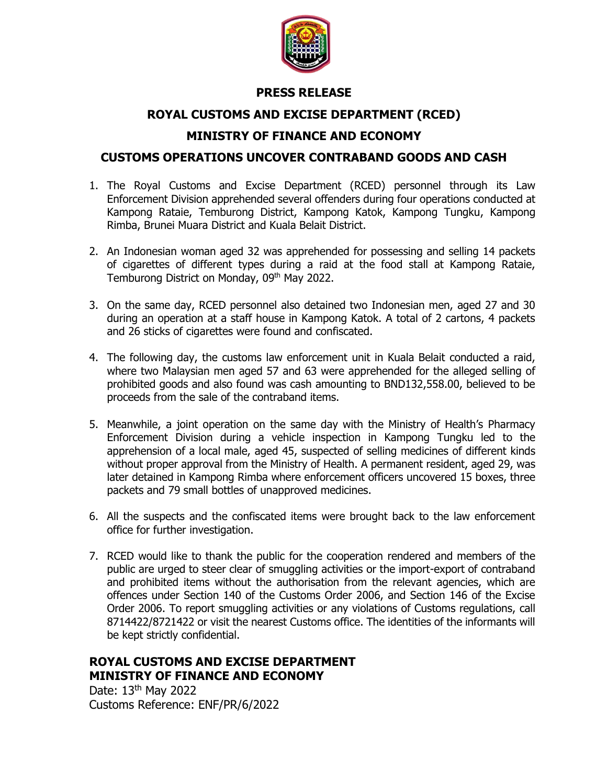

#### **PRESS RELEASE**

#### **ROYAL CUSTOMS AND EXCISE DEPARTMENT (RCED)**

### **MINISTRY OF FINANCE AND ECONOMY**

#### **CUSTOMS OPERATIONS UNCOVER CONTRABAND GOODS AND CASH**

- 1. The Royal Customs and Excise Department (RCED) personnel through its Law Enforcement Division apprehended several offenders during four operations conducted at Kampong Rataie, Temburong District, Kampong Katok, Kampong Tungku, Kampong Rimba, Brunei Muara District and Kuala Belait District.
- 2. An Indonesian woman aged 32 was apprehended for possessing and selling 14 packets of cigarettes of different types during a raid at the food stall at Kampong Rataie, Temburong District on Monday, 09<sup>th</sup> May 2022.
- 3. On the same day, RCED personnel also detained two Indonesian men, aged 27 and 30 during an operation at a staff house in Kampong Katok. A total of 2 cartons, 4 packets and 26 sticks of cigarettes were found and confiscated.
- 4. The following day, the customs law enforcement unit in Kuala Belait conducted a raid, where two Malaysian men aged 57 and 63 were apprehended for the alleged selling of prohibited goods and also found was cash amounting to BND132,558.00, believed to be proceeds from the sale of the contraband items.
- 5. Meanwhile, a joint operation on the same day with the Ministry of Health's Pharmacy Enforcement Division during a vehicle inspection in Kampong Tungku led to the apprehension of a local male, aged 45, suspected of selling medicines of different kinds without proper approval from the Ministry of Health. A permanent resident, aged 29, was later detained in Kampong Rimba where enforcement officers uncovered 15 boxes, three packets and 79 small bottles of unapproved medicines.
- 6. All the suspects and the confiscated items were brought back to the law enforcement office for further investigation.
- 7. RCED would like to thank the public for the cooperation rendered and members of the public are urged to steer clear of smuggling activities or the import-export of contraband and prohibited items without the authorisation from the relevant agencies, which are offences under Section 140 of the Customs Order 2006, and Section 146 of the Excise Order 2006. To report smuggling activities or any violations of Customs regulations, call 8714422/8721422 or visit the nearest Customs office. The identities of the informants will be kept strictly confidential.

## **ROYAL CUSTOMS AND EXCISE DEPARTMENT MINISTRY OF FINANCE AND ECONOMY**

Date: 13<sup>th</sup> May 2022 Customs Reference: ENF/PR/6/2022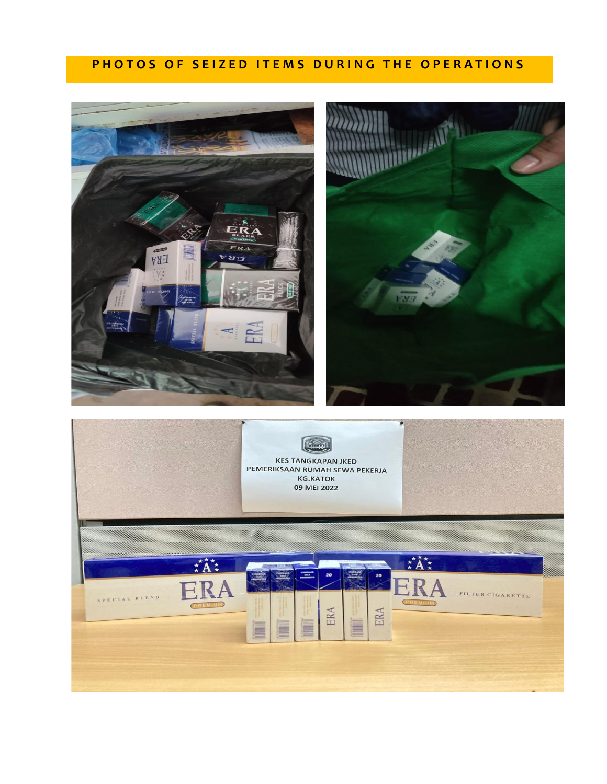# **PHOTOS OF SEIZED ITEMS DURING THE OPERATIONS**